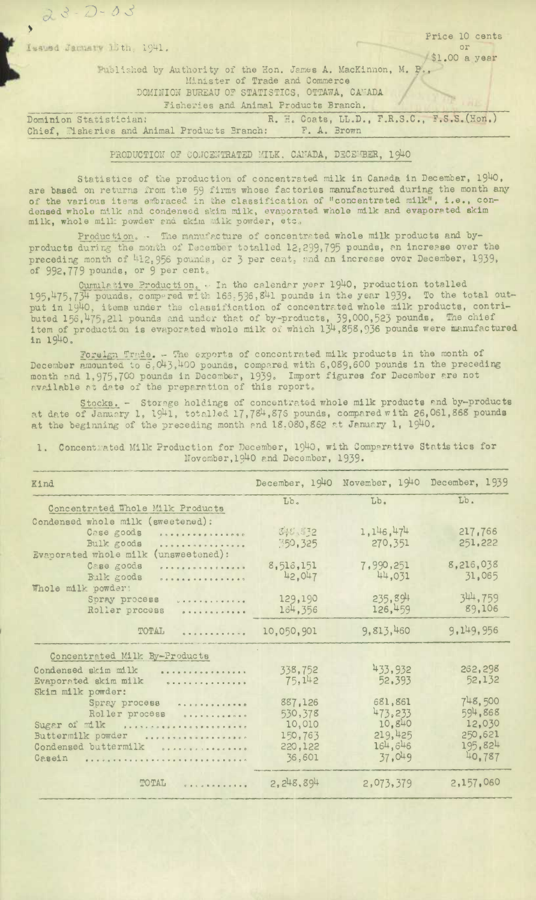Price 10 cents Issued January 15th, 1941. The contract of the contract of the contract of the contract of the contract of the contract of the contract of the contract of the contract of the contract of the contract of the contract of the / \$1.00 a year Published by Authority of the Hon. James A. MacKinnon, M. P., Minister of Trade and Commerce DOMINION BUREAU OF STATISTICS, OTTAWA, CAMADA Fisheries and Animal Products Branch. Dominion Statistician: R. H. Coats, LL.D., F.R.S.C., F.S.S. (Hon.)<br>Chief, Eisheries and Animal Products Branch: F. A. Brown Chief, *Hisheries and Animal Products Branch:* 

23-2-03

 $\overline{\phantom{0}}$ 

## PRODUCTION OF CONCENTRATED MILK. CANADA, DECEMBER, 1940

Statistics of the production of concentrated milk in Caneda in December, *1940,*  are based on returns from the 59 firms whose factories manufactured during the month any of the various items embraced in the classification of "concentrated milk", i.e., condensed whole milk and condensed skim milk, evaporated whole milk and evaporeted **skim**  milk, whole milk powder and skim wilk powder, etc.

Production. The manufacture of concentrated whole milk products and by-<br>products during the month of December totalled 12;299,795 pounds, an increase over the preceding month of 412,956 pounds, or 3 per cent, and an increase over December, 1939, of 992,779 pounds, or 9 per cent.

Cumulative Production. . In the calendar year 1940, production totalled **195,475,734 pounds. compered with 163.536,841 pounds in the year 1939. To the total out**put in 1940, items under the classification of concentrated whole milk products, contributed *156,1475,211* pounds and under that of by-products, *39,000,523* pounds. The chief item of production is evaporated whole milk of which  $13^1$ , 858, 936 pounds were manufactured in *19140.* 

The exports of concontrated milk products in the month of December amounted to 6,043,400 pounds, compared with 6,089,600 pounds in the preceding month and 1,975,700 pounds in December, 1939. Import figures for December are not available at date of the preperation of this report.

Stocks. - Storage holdings of concentrated whole milk products and by-products at date of Janury 1, *19141,* totalled *17,7814,376* pounds, coared with *26,061,368* pounds at the beginning of the preceding month and 18,080,862 at January 1, 1940.

1. *Concent'ated.* Milk Production for December, 1940, with Comperative Statistics for iTovcmber,19140 and December, *1939,* 

| Kind                                                                                                         |                                                              | December, 1940 November, 1940 December, 1939                 |                                                              |
|--------------------------------------------------------------------------------------------------------------|--------------------------------------------------------------|--------------------------------------------------------------|--------------------------------------------------------------|
| Concentrated Whole Milk Products                                                                             | Lb.                                                          | Lb.                                                          | Lb.                                                          |
| Condensed whole milk (sweetened):<br>Case goods<br>.<br>Bulk goods<br>.                                      | 345.832<br>350,325                                           | 1, 146, 474<br>270,351                                       | 217,766<br>251,222                                           |
| (unsweetened):<br>Evaporated whole milk<br>Case goods<br>.<br>Bilk goods<br>.                                | 8,516,151<br>42,047                                          | 7,990,251<br>44,031                                          | 8,216,038<br>31,065                                          |
| Whole milk powder:<br>Spray process<br>Roller process<br>.                                                   | 129,190<br>164.356                                           | 235,894<br>126,459                                           | 344,759<br>89,106                                            |
| TOTAL<br>.                                                                                                   | 10,050,901                                                   | 9,813,460                                                    | 9, 149, 956                                                  |
| Concentrated Milk By-Products                                                                                |                                                              |                                                              |                                                              |
| Condensed skim milk<br><b></b><br>Evaporated skim milk<br>.<br>Skim milk powder:                             | 338,752<br>75,142                                            | 433,932<br>52,393                                            | 262,298<br>52,132                                            |
| Spray process<br>.<br>Roller process<br>Sugar of milk<br>Buttermilk powder<br>Condensed buttermilk<br>Casein | 887.126<br>530,378<br>10,010<br>150,763<br>220,122<br>36,601 | 681,861<br>473.233<br>10,840<br>219,425<br>164,646<br>37,049 | 748.500<br>594,868<br>12,030<br>250,621<br>195,824<br>40.787 |
| <b>TOTAL</b><br>.                                                                                            | 2, 248, 894                                                  | 2,073,379                                                    | 2,157,060                                                    |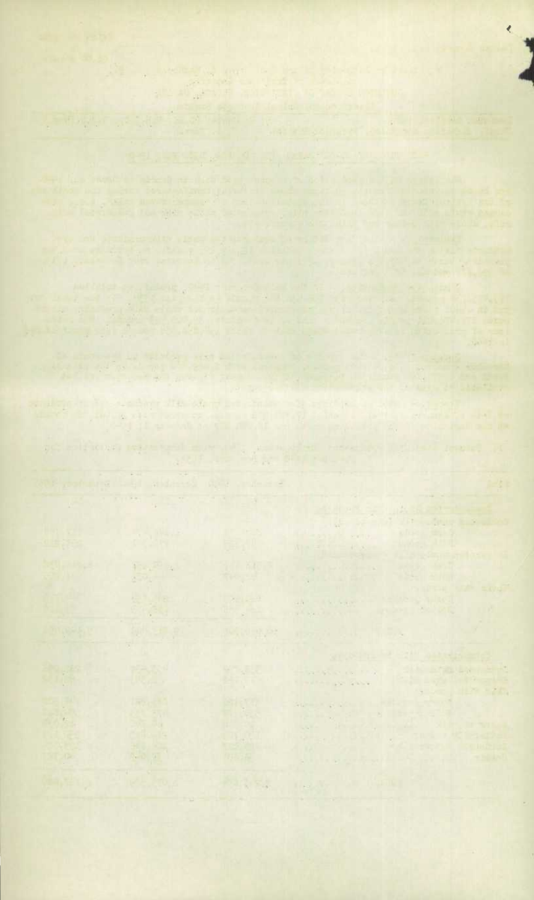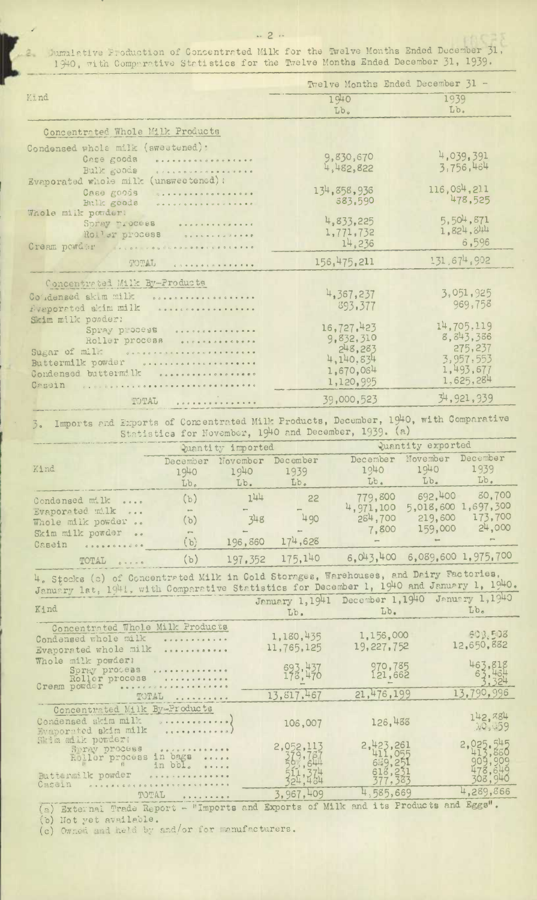Jumilative Froduction of Concentrated Milk for the Twelve Months Ended December 31, 1940, with Comparative Statistics for the Twelve Months Ended December 31, 1939.

|                                                                                                         |                               |                   | Twelve Months Ended December 31 -                     |                        |                       |                               |
|---------------------------------------------------------------------------------------------------------|-------------------------------|-------------------|-------------------------------------------------------|------------------------|-----------------------|-------------------------------|
| Kind                                                                                                    |                               |                   |                                                       | 1940<br>Lb.            |                       | 1939<br>Lb.                   |
| Concentrated Whole Milk Products                                                                        |                               |                   |                                                       |                        |                       |                               |
| Condensed whole milk (sweetened):                                                                       |                               |                   |                                                       |                        |                       |                               |
| Chee goods                                                                                              |                               |                   |                                                       | 9,830,670<br>4,482,822 |                       | 4,039,391<br>3.756.464        |
| Bulk goods economications<br>Evaporated whole milk (unsweetened):                                       |                               |                   |                                                       |                        |                       |                               |
| Case goods                                                                                              |                               |                   |                                                       | 134, 858, 936          |                       | 116,064,211                   |
| Bulk goods                                                                                              |                               |                   |                                                       | 383.590                |                       | 478,525                       |
| Whole milk powder:                                                                                      |                               |                   |                                                       | 4,833,225              |                       | 5,504,871                     |
| Spray nuocess<br>Roller process                                                                         | DESSANCE JORDE                |                   |                                                       | 1,771,732              |                       | 1,824,844                     |
| Cream powder accorporation associations                                                                 |                               |                   |                                                       | 14,236                 |                       | 6,596                         |
| TOTAL                                                                                                   | .                             |                   |                                                       | 156,475,211            |                       | 131, 674, 902                 |
|                                                                                                         |                               |                   |                                                       |                        |                       |                               |
| Concentrated Milk By-Products<br>Coudensed skim milk                                                    |                               |                   |                                                       | 4,367,237              |                       | 3,051,925                     |
| <i>Eveporated</i> skim milk                                                                             | $0.0004444000000000000000000$ |                   |                                                       | 893,377                |                       | 969,758                       |
| Skim milk powder:                                                                                       |                               |                   |                                                       |                        |                       |                               |
| Spray process                                                                                           |                               |                   |                                                       | 16,727,423             |                       | 14,705.119<br>8, 843, 386     |
| Roller process<br>Sugar of milk sonsenonconconcerters.                                                  |                               |                   |                                                       | 9,832,310<br>248,283   |                       | 275,237                       |
| Buttermilk powder                                                                                       |                               |                   |                                                       | 4,140.834              |                       | 3,957,553                     |
| Condensed buttermilk                                                                                    |                               |                   |                                                       | 1,670,064              |                       | 1,493,677                     |
| Casein                                                                                                  |                               |                   |                                                       | 1,120,995              |                       | 1,625,284                     |
| TOTAL                                                                                                   |                               |                   |                                                       | 39,000,523             |                       | 34, 921, 939                  |
| Imports and Exports of Concentrated Milk Products, December, 1940, with Comparative<br>$\overline{3}$ . |                               |                   | Statistics for November, 1940 and December, 1939. (a) |                        |                       |                               |
|                                                                                                         |                               | Quantity imported |                                                       |                        | Quantity exported     |                               |
|                                                                                                         |                               |                   | December November December                            | December               |                       | November December             |
| Kind                                                                                                    |                               | 1940 1940         | 1939                                                  | Lb.                    | 1940 1940 1939<br>Lb. | Lb.                           |
|                                                                                                         | Lb.                           | Lb.               | Lb.                                                   |                        |                       |                               |
| Condensed milk<br>0.000                                                                                 | (b)                           | 144               | 22                                                    | 779,800<br>4,971,100   | 692,400               | 80,700<br>5,018,600 1,697,300 |
| Evaporated milk<br>Whole milk powder                                                                    | gios.<br>(b)                  | 348               | 490                                                   | 284,700                | 219,600               | 173,700                       |
| Skim milk powder<br>$\theta$ $\theta$                                                                   |                               |                   |                                                       | 7,800                  | 159,000               | 24,000                        |
| Casein<br>CONNeGARO O B                                                                                 | (b)                           | 196,860           | 174,628                                               |                        |                       |                               |
| TOTAL                                                                                                   | (b)                           | 197,352           | 175,140                                               |                        |                       | 6.043,400 6,089,600 1,975,700 |
| 4. Stocks (c) of Concentrated Milk in Cold Storages, Warehouses, and Dairy Factories.                   |                               |                   |                                                       |                        |                       |                               |
| January 1st, 1941, with Comparative Statistics for December 1, 1940 and January 1, 1940.                |                               |                   |                                                       |                        |                       |                               |
| Kind                                                                                                    |                               |                   | January 1,1941 December 1,1940 January 1,1940<br>Lb.  | Lb.                    |                       | Lb.                           |
| Concentrated Whole Milk Products                                                                        |                               |                   |                                                       |                        |                       |                               |
| Condensed whole milk                                                                                    |                               |                   | 1,180,435                                             | 1,156,000              |                       | 603.508<br>12,650,882         |
| Evaporated whole milk                                                                                   | .                             |                   | 11,765,125                                            | 19,227,752             |                       |                               |
| Whole milk powder:<br>Spray process                                                                     |                               |                   | $693,437$<br>178,470                                  | 970,785<br>121,662     |                       | 463,818                       |
| Roller process                                                                                          |                               |                   |                                                       |                        |                       |                               |
| Cream powder<br>TOTAL                                                                                   | .                             |                   | 13, 817, 467                                          | 21,476,199             |                       | 13,790,996                    |
| Concentrated Milk By-Products                                                                           |                               |                   |                                                       |                        |                       |                               |
| Condensed skim milk<br>Evaporated skim milk                                                             |                               |                   | 106,007                                               | 126,488                |                       | 142,384<br>22, 39             |
| Shim malk powder:<br>SOPAY DROCOSS                                                                      |                               |                   | 2,052,113                                             | 2,423,261              |                       | 2,025.545                     |

Roller process in bags .....  $-379.787$ <br>593.644<br>511.3744<br>324.434<br>3.967.409  $411,055$ <br>629, 251<br>618, 231<br>577, 383 413,880<br>909,909<br>478,649<br>308,940 Euttermilk powder<br>
Cassin<br>
Cassin<br>
Cassin<br>
Cassin<br>
Cassin<br>
Cassin<br>
Cassin<br>
Cassin<br>
Cassin<br>
Cassin<br>
Cassin<br>
Cassin<br>
Cassin<br>
Cassin<br>
Cassin<br>
Cassin<br>
Cassin<br>
Cassin<br>
Cassin<br>
Cassin<br>
Cassin<br>
Cassin<br>
Cassin<br>
Cassin<br>
Cassin<br>
Cas 4,289,866

(c) Owned and held by and/or for manufacturers.